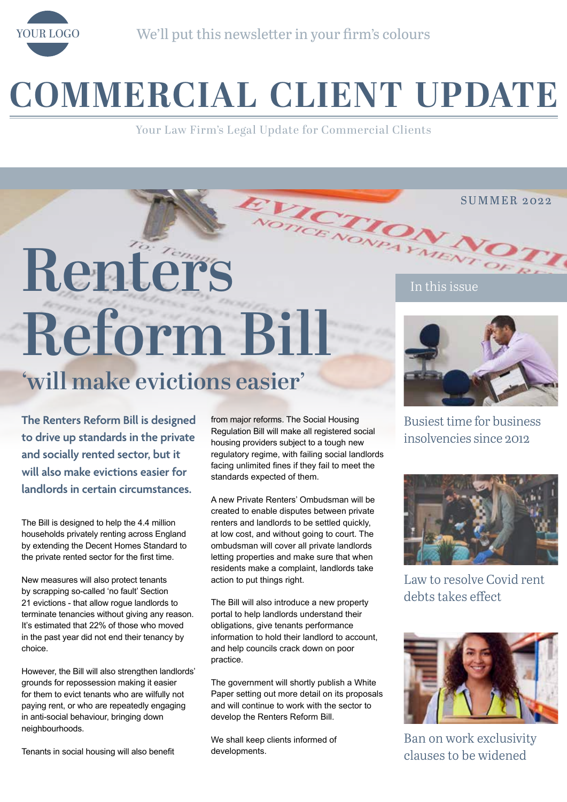

# **COMMERCIAL CLIENT UPDATE**

Your Law Firm's Legal Update for Commercial Clients

# Renter's **Numerical Property Avenue Rentered S Reform Bill**

## **'will make evictions easier'**

**The Renters Reform Bill is designed to drive up standards in the private and socially rented sector, but it will also make evictions easier for landlords in certain circumstances.** 

The Bill is designed to help the 4.4 million households privately renting across England by extending the Decent Homes Standard to the private rented sector for the first time.

New measures will also protect tenants by scrapping so-called 'no fault' Section 21 evictions - that allow rogue landlords to terminate tenancies without giving any reason. It's estimated that 22% of those who moved in the past year did not end their tenancy by choice.

However, the Bill will also strengthen landlords' grounds for repossession making it easier for them to evict tenants who are wilfully not paying rent, or who are repeatedly engaging in anti-social behaviour, bringing down neighbourhoods.

Tenants in social housing will also benefit

from major reforms. The Social Housing Regulation Bill will make all registered social housing providers subject to a tough new regulatory regime, with failing social landlords facing unlimited fines if they fail to meet the standards expected of them.

A new Private Renters' Ombudsman will be created to enable disputes between private renters and landlords to be settled quickly, at low cost, and without going to court. The ombudsman will cover all private landlords letting properties and make sure that when residents make a complaint, landlords take action to put things right.

The Bill will also introduce a new property portal to help landlords understand their obligations, give tenants performance information to hold their landlord to account, and help councils crack down on poor practice.

The government will shortly publish a White Paper setting out more detail on its proposals and will continue to work with the sector to develop the Renters Reform Bill.

We shall keep clients informed of developments.



SUMMER 2022

Busiest time for business insolvencies since 2012



Law to resolve Covid rent debts takes effect



Ban on work exclusivity clauses to be widened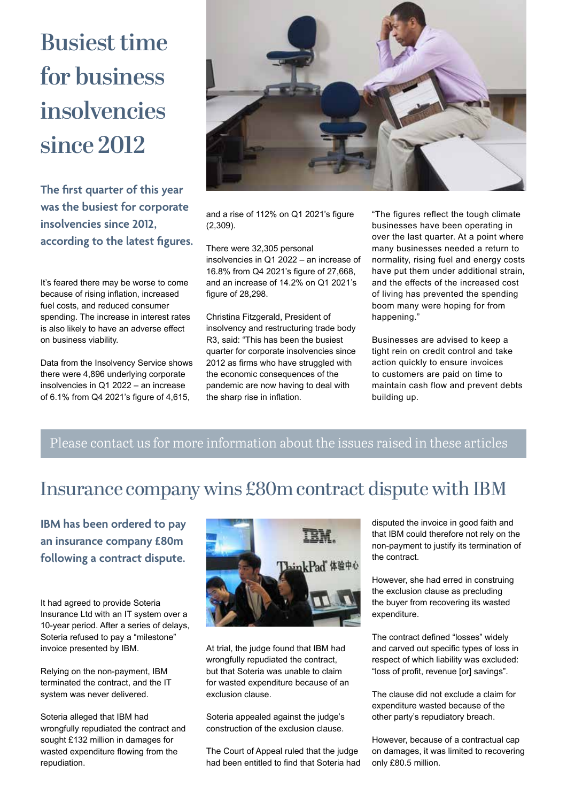# **Busiest time for business insolvencies since 2012**

**The first quarter of this year was the busiest for corporate insolvencies since 2012, according to the latest figures.** 

It's feared there may be worse to come because of rising inflation, increased fuel costs, and reduced consumer spending. The increase in interest rates is also likely to have an adverse effect on business viability.

Data from the Insolvency Service shows there were 4,896 underlying corporate insolvencies in Q1 2022 – an increase of 6.1% from Q4 2021's figure of 4,615,



and a rise of 112% on Q1 2021's figure (2,309).

There were 32,305 personal insolvencies in Q1 2022 – an increase of 16.8% from Q4 2021's figure of 27,668, and an increase of 14.2% on Q1 2021's figure of 28,298.

Christina Fitzgerald, President of insolvency and restructuring trade body R3, said: "This has been the busiest quarter for corporate insolvencies since 2012 as firms who have struggled with the economic consequences of the pandemic are now having to deal with the sharp rise in inflation.

"The figures reflect the tough climate businesses have been operating in over the last quarter. At a point where many businesses needed a return to normality, rising fuel and energy costs have put them under additional strain, and the effects of the increased cost of living has prevented the spending boom many were hoping for from happening."

Businesses are advised to keep a tight rein on credit control and take action quickly to ensure invoices to customers are paid on time to maintain cash flow and prevent debts building up.

### Please contact us for more information about the issues raised in these articles

## Insurance company wins £80m contract dispute with IBM

**IBM has been ordered to pay an insurance company £80m following a contract dispute.** 

It had agreed to provide Soteria Insurance Ltd with an IT system over a 10-year period. After a series of delays, Soteria refused to pay a "milestone" invoice presented by IBM.

Relying on the non-payment, IBM terminated the contract, and the IT system was never delivered.

Soteria alleged that IBM had wrongfully repudiated the contract and sought £132 million in damages for wasted expenditure flowing from the repudiation.



At trial, the judge found that IBM had wrongfully repudiated the contract, but that Soteria was unable to claim for wasted expenditure because of an exclusion clause.

Soteria appealed against the judge's construction of the exclusion clause.

The Court of Appeal ruled that the judge had been entitled to find that Soteria had disputed the invoice in good faith and that IBM could therefore not rely on the non-payment to justify its termination of the contract.

However, she had erred in construing the exclusion clause as precluding the buyer from recovering its wasted expenditure.

The contract defined "losses" widely and carved out specific types of loss in respect of which liability was excluded: "loss of profit, revenue [or] savings".

The clause did not exclude a claim for expenditure wasted because of the other party's repudiatory breach.

However, because of a contractual cap on damages, it was limited to recovering only £80.5 million.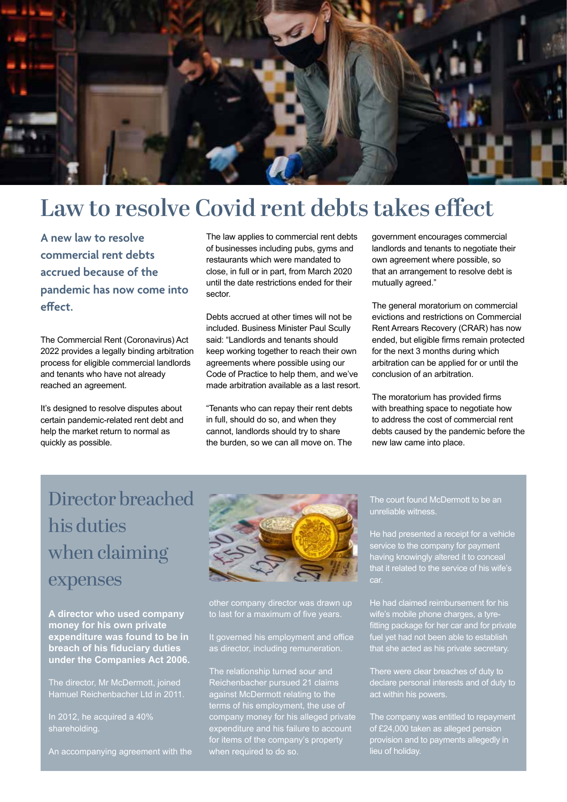

## **Law to resolve Covid rent debts takes effect**

**A new law to resolve commercial rent debts accrued because of the pandemic has now come into effect.** 

The Commercial Rent (Coronavirus) Act 2022 provides a legally binding arbitration process for eligible commercial landlords and tenants who have not already reached an agreement.

It's designed to resolve disputes about certain pandemic-related rent debt and help the market return to normal as quickly as possible.

The law applies to commercial rent debts of businesses including pubs, gyms and restaurants which were mandated to close, in full or in part, from March 2020 until the date restrictions ended for their sector.

Debts accrued at other times will not be included. Business Minister Paul Scully said: "Landlords and tenants should keep working together to reach their own agreements where possible using our Code of Practice to help them, and we've made arbitration available as a last resort.

"Tenants who can repay their rent debts in full, should do so, and when they cannot, landlords should try to share the burden, so we can all move on. The government encourages commercial landlords and tenants to negotiate their own agreement where possible, so that an arrangement to resolve debt is mutually agreed."

The general moratorium on commercial evictions and restrictions on Commercial Rent Arrears Recovery (CRAR) has now ended, but eligible firms remain protected for the next 3 months during which arbitration can be applied for or until the conclusion of an arbitration.

The moratorium has provided firms with breathing space to negotiate how to address the cost of commercial rent debts caused by the pandemic before the new law came into place.

## Director breached his duties when claiming expenses

**A director who used company money for his own private expenditure was found to be in breach of his fiduciary duties under the Companies Act 2006.** 

The director, Mr McDermott, joined Hamuel Reichenbacher Ltd in 2011.

In 2012, he acquired a 40% shareholding.

An accompanying agreement with the



other company director was drawn up

It governed his employment and office as director, including remuneration.

The relationship turned sour and against McDermott relating to the terms of his employment, the use of company money for his alleged private for items of the company's property when required to do so.

#### The court found McDermott to be an unreliable witness.

He had presented a receipt for a vehicle service to the company for payment having knowingly altered it to conceal that it related to the service of his wife's car.

He had claimed reimbursement for his wife's mobile phone charges, a tyrefitting package for her car and for private fuel yet had not been able to establish that she acted as his private secretary.

There were clear breaches of duty to declare personal interests and of duty to act within his powers.

The company was entitled to repayment of £24,000 taken as alleged pension provision and to payments allegedly in lieu of holiday.